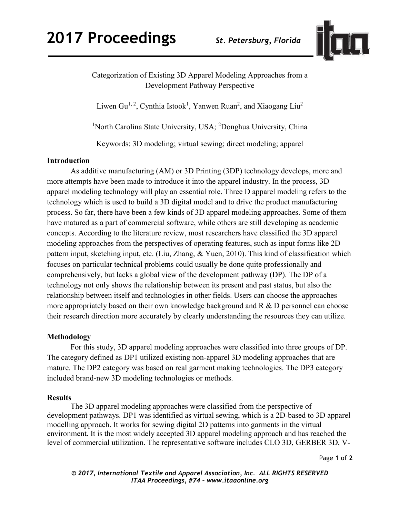

Categorization of Existing 3D Apparel Modeling Approaches from a Development Pathway Perspective

Liwen Gu<sup>1, 2</sup>, Cynthia Istook<sup>1</sup>, Yanwen Ruan<sup>2</sup>, and Xiaogang Liu<sup>2</sup>

<sup>1</sup>North Carolina State University, USA; <sup>2</sup>Donghua University, China

Keywords: 3D modeling; virtual sewing; direct modeling; apparel

## **Introduction**

As additive manufacturing (AM) or 3D Printing (3DP) technology develops, more and more attempts have been made to introduce it into the apparel industry. In the process, 3D apparel modeling technology will play an essential role. Three D apparel modeling refers to the technology which is used to build a 3D digital model and to drive the product manufacturing process. So far, there have been a few kinds of 3D apparel modeling approaches. Some of them have matured as a part of commercial software, while others are still developing as academic concepts. According to the literature review, most researchers have classified the 3D apparel modeling approaches from the perspectives of operating features, such as input forms like 2D pattern input, sketching input, etc. (Liu, Zhang, & Yuen, 2010). This kind of classification which focuses on particular technical problems could usually be done quite professionally and comprehensively, but lacks a global view of the development pathway (DP). The DP of a technology not only shows the relationship between its present and past status, but also the relationship between itself and technologies in other fields. Users can choose the approaches more appropriately based on their own knowledge background and R & D personnel can choose their research direction more accurately by clearly understanding the resources they can utilize.

# **Methodology**

For this study, 3D apparel modeling approaches were classified into three groups of DP. The category defined as DP1 utilized existing non-apparel 3D modeling approaches that are mature. The DP2 category was based on real garment making technologies. The DP3 category included brand-new 3D modeling technologies or methods.

### **Results**

The 3D apparel modeling approaches were classified from the perspective of development pathways. DP1 was identified as virtual sewing, which is a 2D-based to 3D apparel modelling approach. It works for sewing digital 2D patterns into garments in the virtual environment. It is the most widely accepted 3D apparel modeling approach and has reached the level of commercial utilization. The representative software includes CLO 3D, GERBER 3D, V-

Page **1** of **2** 

*© 2017, International Textile and Apparel Association, Inc. ALL RIGHTS RESERVED ITAA Proceedings, #74 – www.itaaonline.org*